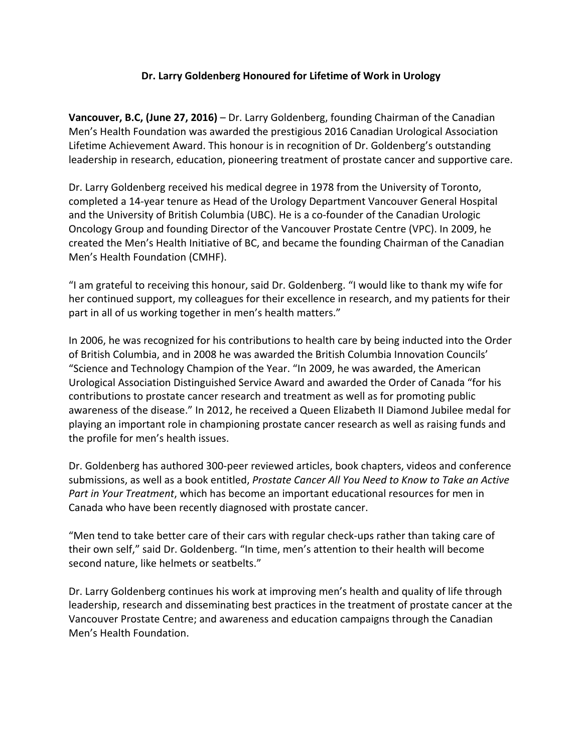## Dr. Larry Goldenberg Honoured for Lifetime of Work in Urology

**Vancouver, B.C, (June 27, 2016)** – Dr. Larry Goldenberg, founding Chairman of the Canadian Men's Health Foundation was awarded the prestigious 2016 Canadian Urological Association Lifetime Achievement Award. This honour is in recognition of Dr. Goldenberg's outstanding leadership in research, education, pioneering treatment of prostate cancer and supportive care.

Dr. Larry Goldenberg received his medical degree in 1978 from the University of Toronto, completed a 14-year tenure as Head of the Urology Department Vancouver General Hospital and the University of British Columbia (UBC). He is a co-founder of the Canadian Urologic Oncology Group and founding Director of the Vancouver Prostate Centre (VPC). In 2009, he created the Men's Health Initiative of BC, and became the founding Chairman of the Canadian Men's Health Foundation (CMHF).

"I am grateful to receiving this honour, said Dr. Goldenberg. "I would like to thank my wife for her continued support, my colleagues for their excellence in research, and my patients for their part in all of us working together in men's health matters."

In 2006, he was recognized for his contributions to health care by being inducted into the Order of British Columbia, and in 2008 he was awarded the British Columbia Innovation Councils' "Science and Technology Champion of the Year. "In 2009, he was awarded, the American Urological Association Distinguished Service Award and awarded the Order of Canada "for his contributions to prostate cancer research and treatment as well as for promoting public awareness of the disease." In 2012, he received a Queen Elizabeth II Diamond Jubilee medal for playing an important role in championing prostate cancer research as well as raising funds and the profile for men's health issues.

Dr. Goldenberg has authored 300-peer reviewed articles, book chapters, videos and conference submissions, as well as a book entitled, *Prostate Cancer All You Need to Know to Take an Active Part in Your Treatment*, which has become an important educational resources for men in Canada who have been recently diagnosed with prostate cancer.

"Men tend to take better care of their cars with regular check-ups rather than taking care of their own self," said Dr. Goldenberg. "In time, men's attention to their health will become second nature, like helmets or seatbelts."

Dr. Larry Goldenberg continues his work at improving men's health and quality of life through leadership, research and disseminating best practices in the treatment of prostate cancer at the Vancouver Prostate Centre; and awareness and education campaigns through the Canadian Men's Health Foundation.